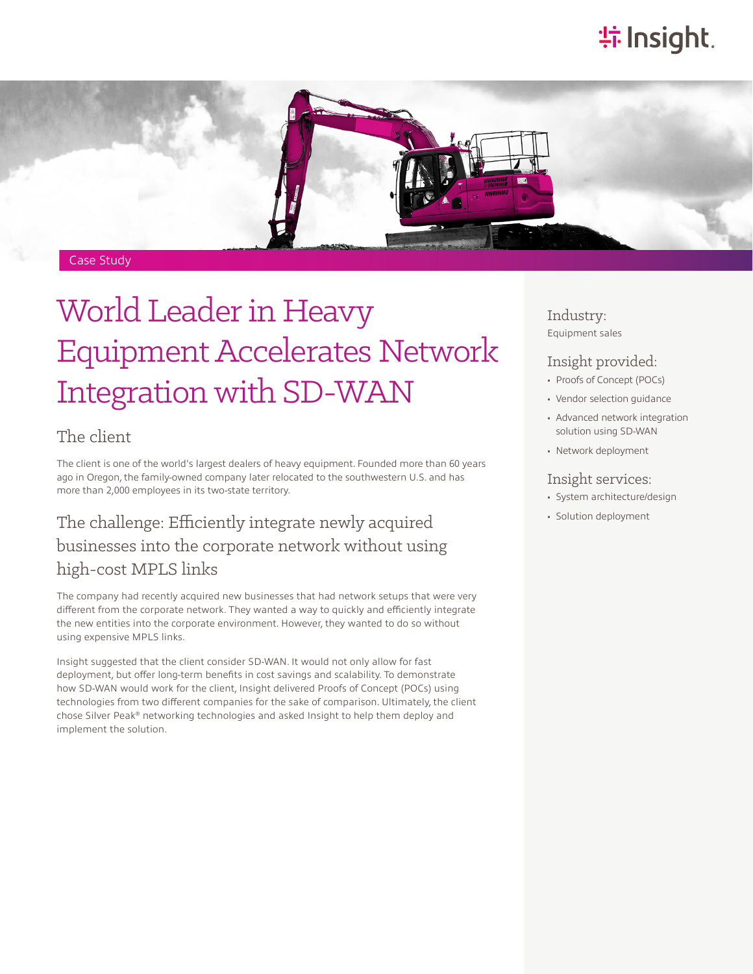# **特Insight**.



# World Leader in Heavy Equipment Accelerates Network Integration with SD-WAN

#### The client

The client is one of the world's largest dealers of heavy equipment. Founded more than 60 years ago in Oregon, the family-owned company later relocated to the southwestern U.S. and has more than 2,000 employees in its two-state territory.

## The challenge: Efficiently integrate newly acquired businesses into the corporate network without using high-cost MPLS links

The company had recently acquired new businesses that had network setups that were very different from the corporate network. They wanted a way to quickly and efficiently integrate the new entities into the corporate environment. However, they wanted to do so without using expensive MPLS links.

Insight suggested that the client consider SD-WAN. It would not only allow for fast deployment, but offer long-term benefits in cost savings and scalability. To demonstrate how SD-WAN would work for the client, Insight delivered Proofs of Concept (POCs) using technologies from two different companies for the sake of comparison. Ultimately, the client chose Silver Peak® networking technologies and asked Insight to help them deploy and implement the solution.

Industry: Equipment sales

#### Insight provided:

- Proofs of Concept (POCs)
- Vendor selection guidance
- Advanced network integration solution using SD-WAN
- Network deployment

#### Insight services:

- System architecture/design
- Solution deployment